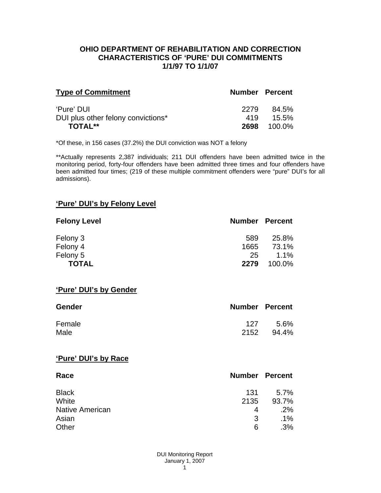#### **OHIO DEPARTMENT OF REHABILITATION AND CORRECTION CHARACTERISTICS OF 'PURE' DUI COMMITMENTS 1/1/97 TO 1/1/07**

| <b>Type of Commitment</b>          | <b>Number Percent</b> |          |
|------------------------------------|-----------------------|----------|
| 'Pure' DUI                         | 2279                  | 84.5%    |
| DUI plus other felony convictions* | 419                   | $15.5\%$ |
| <b>TOTAL**</b>                     | 2698                  | 100.0%   |

\*Of these, in 156 cases (37.2%) the DUI conviction was NOT a felony

\*\*Actually represents 2,387 individuals; 211 DUI offenders have been admitted twice in the monitoring period, forty-four offenders have been admitted three times and four offenders have been admitted four times; (219 of these multiple commitment offenders were "pure" DUI's for all admissions).

## **'Pure' DUI's by Felony Level**

| <b>Felony Level</b> | <b>Number Percent</b> |         |
|---------------------|-----------------------|---------|
| Felony 3            | 589                   | 25.8%   |
| Felony 4            | 1665                  | 73.1%   |
| Felony 5            | 25                    | $1.1\%$ |
| <b>TOTAL</b>        | 2279                  | 100.0%  |

#### **'Pure' DUI's by Gender**

| Gender | <b>Number Percent</b> |       |
|--------|-----------------------|-------|
| Female | 127                   | .5.6% |
| Male   | 2152                  | 94.4% |

#### **'Pure' DUI's by Race**

| Race                   | <b>Number Percent</b> |        |
|------------------------|-----------------------|--------|
| <b>Black</b>           | 131                   | 5.7%   |
| White                  | 2135                  | 93.7%  |
| <b>Native American</b> | 4                     | .2%    |
| Asian                  | 3                     | $.1\%$ |
| Other                  | 6                     | .3%    |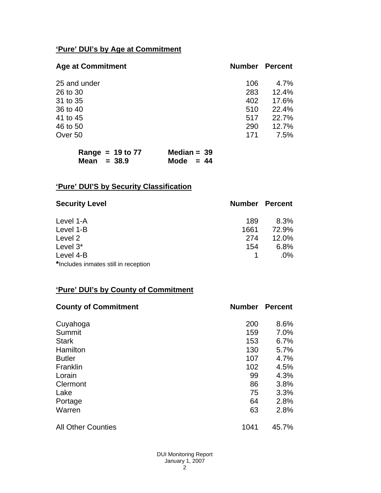# **'Pure' DUI's by Age at Commitment**

| <b>Age at Commitment</b> | <b>Number</b> | <b>Percent</b> |
|--------------------------|---------------|----------------|
| 25 and under             | 106           | 4.7%           |
| 26 to 30                 | 283           | 12.4%          |
| 31 to 35                 | 402           | 17.6%          |
| 36 to 40                 | 510           | 22.4%          |
| 41 to 45                 | 517           | 22.7%          |
| 46 to 50                 | 290           | 12.7%          |
| Over 50                  | 171           | 7.5%           |

| Range = $19$ to $77$ | Median = $39$ |  |
|----------------------|---------------|--|
| Mean $=$ 38.9        | Mode $= 44$   |  |

# **'Pure' DUI'S by Security Classification**

| <b>Security Level</b>                | <b>Number Percent</b> |        |
|--------------------------------------|-----------------------|--------|
| Level 1-A                            | 189                   | 8.3%   |
| Level 1-B                            | 1661                  | 72.9%  |
| Level 2                              | 274                   | 12.0%  |
| Level 3*                             | 154                   | 6.8%   |
| Level 4-B                            |                       | $.0\%$ |
| *Includes inmates still in reception |                       |        |

# **'Pure' DUI's by County of Commitment**

| <b>County of Commitment</b> | <b>Number</b> | <b>Percent</b> |
|-----------------------------|---------------|----------------|
| Cuyahoga                    | 200           | 8.6%           |
| Summit                      | 159           | 7.0%           |
| <b>Stark</b>                | 153           | 6.7%           |
| Hamilton                    | 130           | 5.7%           |
| <b>Butler</b>               | 107           | 4.7%           |
| Franklin                    | 102           | 4.5%           |
| Lorain                      | 99            | 4.3%           |
| Clermont                    | 86            | 3.8%           |
| Lake                        | 75            | 3.3%           |
| Portage                     | 64            | 2.8%           |
| Warren                      | 63            | 2.8%           |
| <b>All Other Counties</b>   | 1041          | 45.7%          |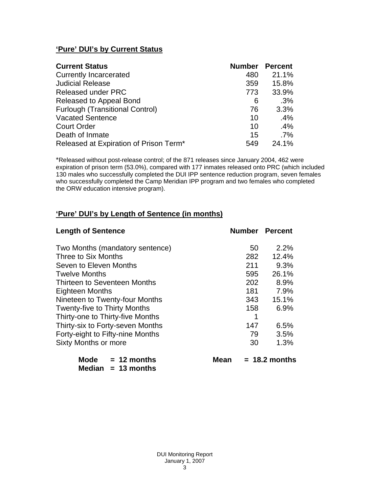# **'Pure' DUI's by Current Status**

| <b>Current Status</b>                  | <b>Number</b> | <b>Percent</b> |
|----------------------------------------|---------------|----------------|
| <b>Currently Incarcerated</b>          | 480           | 21.1%          |
| <b>Judicial Release</b>                | 359           | 15.8%          |
| <b>Released under PRC</b>              | 773           | 33.9%          |
| Released to Appeal Bond                | 6             | .3%            |
| <b>Furlough (Transitional Control)</b> | 76            | 3.3%           |
| <b>Vacated Sentence</b>                | 10            | $.4\%$         |
| <b>Court Order</b>                     | 10            | .4%            |
| Death of Inmate                        | 15            | $.7\%$         |
| Released at Expiration of Prison Term* | 549           | 24.1%          |

\*Released without post-release control; of the 871 releases since January 2004, 462 were expiration of prison term (53.0%), compared with 177 inmates released onto PRC (which included 130 males who successfully completed the DUI IPP sentence reduction program, seven females who successfully completed the Camp Meridian IPP program and two females who completed the ORW education intensive program).

## **'Pure' DUI's by Length of Sentence (in months)**

| <b>Length of Sentence</b>            | <b>Number Percent</b> |                 |
|--------------------------------------|-----------------------|-----------------|
| Two Months (mandatory sentence)      | 50                    | 2.2%            |
| Three to Six Months                  | 282                   | 12.4%           |
| Seven to Eleven Months               | 211                   | 9.3%            |
| <b>Twelve Months</b>                 | 595                   | 26.1%           |
| Thirteen to Seventeen Months         | 202                   | 8.9%            |
| <b>Eighteen Months</b>               | 181                   | 7.9%            |
| Nineteen to Twenty-four Months       | 343                   | 15.1%           |
| <b>Twenty-five to Thirty Months</b>  | 158                   | 6.9%            |
| Thirty-one to Thirty-five Months     | 1                     |                 |
| Thirty-six to Forty-seven Months     | 147                   | 6.5%            |
| Forty-eight to Fifty-nine Months     | 79                    | 3.5%            |
| <b>Sixty Months or more</b>          | 30                    | 1.3%            |
| <b>Mode</b><br>$= 12$ months<br>Mean |                       | $= 18.2$ months |

 **Median = 13 months**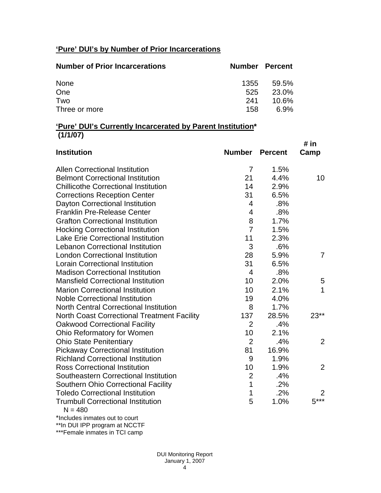# **'Pure' DUI's by Number of Prior Incarcerations**

| <b>Number of Prior Incarcerations</b> | <b>Number Percent</b> |          |
|---------------------------------------|-----------------------|----------|
| <b>None</b>                           | 1355                  | 59.5%    |
| One                                   | 525                   | 23.0%    |
| Two                                   | 241                   | $10.6\%$ |
| Three or more                         | 158.                  | 6.9%     |

### **'Pure' DUI's Currently Incarcerated by Parent Institution\* (1/1/07)**

|                                                       |                |                | # in         |
|-------------------------------------------------------|----------------|----------------|--------------|
| <b>Institution</b>                                    | <b>Number</b>  | <b>Percent</b> | Camp         |
| <b>Allen Correctional Institution</b>                 | 7              | 1.5%           |              |
| <b>Belmont Correctional Institution</b>               | 21             | 4.4%           | 10           |
| <b>Chillicothe Correctional Institution</b>           | 14             | 2.9%           |              |
| <b>Corrections Reception Center</b>                   | 31             | 6.5%           |              |
| Dayton Correctional Institution                       | 4              | .8%            |              |
| <b>Franklin Pre-Release Center</b>                    | 4              | .8%            |              |
| <b>Grafton Correctional Institution</b>               | 8              | 1.7%           |              |
| <b>Hocking Correctional Institution</b>               | $\overline{7}$ | 1.5%           |              |
| <b>Lake Erie Correctional Institution</b>             | 11             | 2.3%           |              |
| <b>Lebanon Correctional Institution</b>               | 3              | .6%            |              |
| <b>London Correctional Institution</b>                | 28             | 5.9%           | 7            |
| <b>Lorain Correctional Institution</b>                | 31             | 6.5%           |              |
| <b>Madison Correctional Institution</b>               | 4              | .8%            |              |
| <b>Mansfield Correctional Institution</b>             | 10             | 2.0%           | 5            |
| <b>Marion Correctional Institution</b>                | 10             | 2.1%           | $\mathbf{1}$ |
| <b>Noble Correctional Institution</b>                 | 19             | 4.0%           |              |
| <b>North Central Correctional Institution</b>         | 8              | 1.7%           |              |
| <b>North Coast Correctional Treatment Facility</b>    | 137            | 28.5%          | $23**$       |
| <b>Oakwood Correctional Facility</b>                  | $\overline{2}$ | .4%            |              |
| Ohio Reformatory for Women                            | 10             | 2.1%           |              |
| <b>Ohio State Penitentiary</b>                        | $\overline{2}$ | .4%            | 2            |
| <b>Pickaway Correctional Institution</b>              | 81             | 16.9%          |              |
| <b>Richland Correctional Institution</b>              | 9              | 1.9%           |              |
| <b>Ross Correctional Institution</b>                  | 10             | 1.9%           | 2            |
| Southeastern Correctional Institution                 | $\overline{2}$ | .4%            |              |
| <b>Southern Ohio Correctional Facility</b>            | $\mathbf{1}$   | .2%            |              |
| <b>Toledo Correctional Institution</b>                | 1              | .2%            | 2            |
| <b>Trumbull Correctional Institution</b><br>$N = 480$ | 5              | 1.0%           | $5***$       |

\*Includes inmates out to court

\*\*In DUI IPP program at NCCTF

\*\*\*Female inmates in TCI camp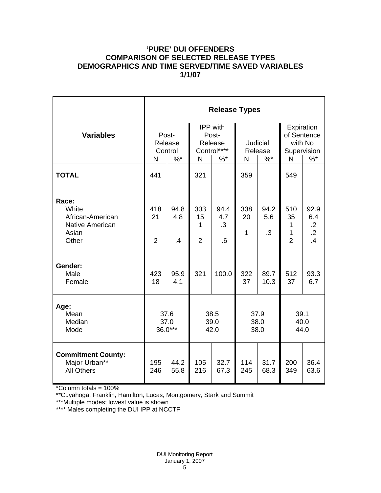### **'PURE' DUI OFFENDERS COMPARISON OF SELECTED RELEASE TYPES DEMOGRAPHICS AND TIME SERVED/TIME SAVED VARIABLES 1/1/07**

|                                                                                | <b>Release Types</b>        |                   |                                                    |                                      |                      |                          |                                                     |                                                    |  |  |
|--------------------------------------------------------------------------------|-----------------------------|-------------------|----------------------------------------------------|--------------------------------------|----------------------|--------------------------|-----------------------------------------------------|----------------------------------------------------|--|--|
| <b>Variables</b>                                                               | Post-<br>Release<br>Control |                   | <b>IPP</b> with<br>Post-<br>Release<br>Control**** |                                      | Judicial<br>Release  |                          | Expiration<br>of Sentence<br>with No<br>Supervision |                                                    |  |  |
|                                                                                | N                           | $\%$ *            | $\overline{N}$                                     | $\%$ *                               | N                    | $\%$ *                   | N                                                   | $\%$ *                                             |  |  |
| <b>TOTAL</b>                                                                   | 441                         |                   | 321                                                |                                      | 359                  |                          | 549                                                 |                                                    |  |  |
| Race:<br>White<br>African-American<br><b>Native American</b><br>Asian<br>Other | 418<br>21<br>$\overline{2}$ | 94.8<br>4.8<br>.4 | 303<br>15<br>1<br>$\overline{2}$                   | 94.4<br>4.7<br>.3<br>$.6\phantom{0}$ | 338<br>20<br>1       | 94.2<br>5.6<br>$\cdot$ 3 | 510<br>35<br>1<br>1<br>$\overline{2}$               | 92.9<br>6.4<br>$\cdot$ .2<br>$\overline{.2}$<br>.4 |  |  |
| Gender:<br>Male<br>Female                                                      | 423<br>18                   | 95.9<br>4.1       | 321                                                | 100.0                                | 322<br>37            | 89.7<br>10.3             | 512<br>37                                           | 93.3<br>6.7                                        |  |  |
| Age:<br>Mean<br>Median<br>Mode                                                 | 37.6<br>37.0<br>$36.0***$   |                   | 38.5<br>39.0<br>42.0                               |                                      | 37.9<br>38.0<br>38.0 |                          | 39.1<br>40.0<br>44.0                                |                                                    |  |  |
| <b>Commitment County:</b><br>Major Urban**<br><b>All Others</b>                | 195<br>246                  | 44.2<br>55.8      | 105<br>216                                         | 32.7<br>67.3                         | 114<br>245           | 31.7<br>68.3             | 200<br>349                                          | 36.4<br>63.6                                       |  |  |

\*Column totals = 100%

\*\*Cuyahoga, Franklin, Hamilton, Lucas, Montgomery, Stark and Summit

\*\*\*Multiple modes; lowest value is shown

\*\*\*\* Males completing the DUI IPP at NCCTF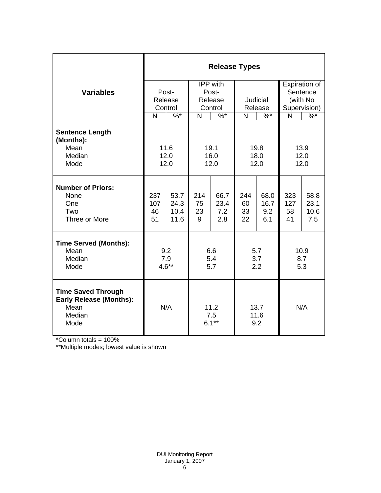|                                                                                       | <b>Release Types</b>                         |                              |                                         |                            |                       |                            |                                                       |                             |  |  |
|---------------------------------------------------------------------------------------|----------------------------------------------|------------------------------|-----------------------------------------|----------------------------|-----------------------|----------------------------|-------------------------------------------------------|-----------------------------|--|--|
| <b>Variables</b>                                                                      | Post-<br>Release<br>Control                  |                              | IPP with<br>Post-<br>Release<br>Control |                            | Judicial<br>Release   |                            | Expiration of<br>Sentence<br>(with No<br>Supervision) |                             |  |  |
|                                                                                       | N<br>$\%$ *                                  |                              | $\sqrt[6]{6}$<br>N                      |                            | N<br>$\%$ *           |                            | N                                                     | $\frac{9}{6}$               |  |  |
| <b>Sentence Length</b><br>(Months):<br>Mean<br>Median<br>Mode                         | 11.6<br>19.1<br>12.0<br>16.0<br>12.0<br>12.0 |                              |                                         | 19.8<br>18.0<br>12.0       |                       | 13.9<br>12.0<br>12.0       |                                                       |                             |  |  |
| <b>Number of Priors:</b><br>None<br>One<br>Two<br>Three or More                       | 237<br>107<br>46<br>51                       | 53.7<br>24.3<br>10.4<br>11.6 | 214<br>75<br>23<br>9                    | 66.7<br>23.4<br>7.2<br>2.8 | 244<br>60<br>33<br>22 | 68.0<br>16.7<br>9.2<br>6.1 | 323<br>127<br>58<br>41                                | 58.8<br>23.1<br>10.6<br>7.5 |  |  |
| <b>Time Served (Months):</b><br>Mean<br>Median<br>Mode                                | 9.2<br>7.9<br>$4.6**$                        |                              | 6.6<br>5.4<br>5.7                       |                            | 5.7<br>3.7<br>2.2     |                            | 10.9<br>8.7<br>5.3                                    |                             |  |  |
| <b>Time Saved Through</b><br><b>Early Release (Months):</b><br>Mean<br>Median<br>Mode | N/A                                          |                              | 11.2<br>7.5<br>$6.1***$                 |                            | 13.7<br>11.6<br>9.2   |                            | N/A                                                   |                             |  |  |

\*Column totals = 100%

\*\*Multiple modes; lowest value is shown